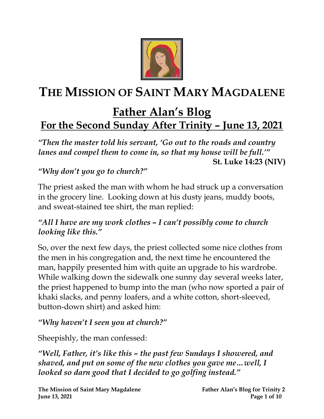

# **THE MISSION OF SAINT MARY MAGDALENE**

# **Father Alan's Blog For the Second Sunday After Trinity – June 13, 2021**

*"Then the master told his servant, 'Go out to the roads and country lanes and compel them to come in, so that my house will be full.'"* **St. Luke 14:23 (NIV)**

# *"Why don't you go to church?"*

The priest asked the man with whom he had struck up a conversation in the grocery line. Looking down at his dusty jeans, muddy boots, and sweat-stained tee shirt, the man replied:

#### *"All I have are my work clothes – I can't possibly come to church looking like this."*

So, over the next few days, the priest collected some nice clothes from the men in his congregation and, the next time he encountered the man, happily presented him with quite an upgrade to his wardrobe. While walking down the sidewalk one sunny day several weeks later, the priest happened to bump into the man (who now sported a pair of khaki slacks, and penny loafers, and a white cotton, short-sleeved, button-down shirt) and asked him:

#### *"Why haven't I seen you at church?"*

Sheepishly, the man confessed:

*"Well, Father, it's like this – the past few Sundays I showered, and shaved, and put on some of the new clothes you gave me…well, I looked so darn good that I decided to go golfing instead."*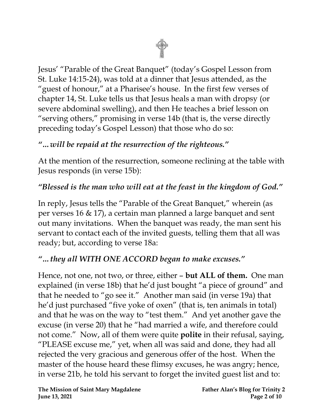

Jesus' "Parable of the Great Banquet" (today's Gospel Lesson from St. Luke 14:15-24), was told at a dinner that Jesus attended, as the "guest of honour," at a Pharisee's house. In the first few verses of chapter 14, St. Luke tells us that Jesus heals a man with dropsy (or severe abdominal swelling), and then He teaches a brief lesson on "serving others," promising in verse 14b (that is, the verse directly preceding today's Gospel Lesson) that those who do so:

# *"…will be repaid at the resurrection of the righteous."*

At the mention of the resurrection, someone reclining at the table with Jesus responds (in verse 15b):

# *"Blessed is the man who will eat at the feast in the kingdom of God."*

In reply, Jesus tells the "Parable of the Great Banquet," wherein (as per verses 16 & 17), a certain man planned a large banquet and sent out many invitations. When the banquet was ready, the man sent his servant to contact each of the invited guests, telling them that all was ready; but, according to verse 18a:

#### *"…they all WITH ONE ACCORD began to make excuses."*

Hence, not one, not two, or three, either – **but ALL of them.** One man explained (in verse 18b) that he'd just bought "a piece of ground" and that he needed to "go see it." Another man said (in verse 19a) that he'd just purchased "five yoke of oxen" (that is, ten animals in total) and that he was on the way to "test them." And yet another gave the excuse (in verse 20) that he "had married a wife, and therefore could not come." Now, all of them were quite **polite** in their refusal, saying, "PLEASE excuse me," yet, when all was said and done, they had all rejected the very gracious and generous offer of the host. When the master of the house heard these flimsy excuses, he was angry; hence, in verse 21b, he told his servant to forget the invited guest list and to: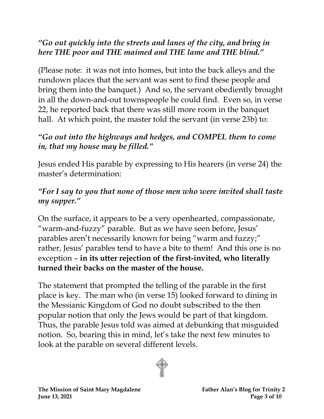# *"Go out quickly into the streets and lanes of the city, and bring in here THE poor and THE maimed and THE lame and THE blind."*

(Please note: it was not into homes, but into the back alleys and the rundown places that the servant was sent to find these people and bring them into the banquet.) And so, the servant obediently brought in all the down-and-out townspeople he could find. Even so, in verse 22, he reported back that there was still more room in the banquet hall. At which point, the master told the servant (in verse 23b) to:

# *"Go out into the highways and hedges, and COMPEL them to come in, that my house may be filled."*

Jesus ended His parable by expressing to His hearers (in verse 24) the master's determination:

# *"For I say to you that none of those men who were invited shall taste my supper."*

On the surface, it appears to be a very openhearted, compassionate, "warm-and-fuzzy" parable. But as we have seen before, Jesus' parables aren't necessarily known for being "warm and fuzzy;" rather, Jesus' parables tend to have a bite to them! And this one is no exception – **in its utter rejection of the first-invited, who literally turned their backs on the master of the house.**

The statement that prompted the telling of the parable in the first place is key. The man who (in verse 15) looked forward to dining in the Messianic Kingdom of God no doubt subscribed to the then popular notion that only the Jews would be part of that kingdom. Thus, the parable Jesus told was aimed at debunking that misguided notion. So, bearing this in mind, let's take the next few minutes to look at the parable on several different levels.

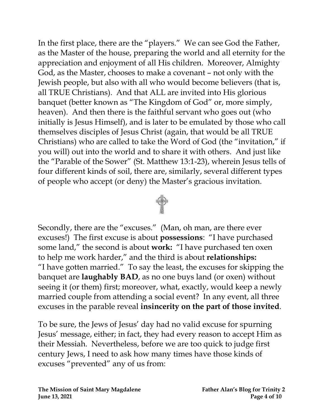In the first place, there are the "players." We can see God the Father, as the Master of the house, preparing the world and all eternity for the appreciation and enjoyment of all His children. Moreover, Almighty God, as the Master, chooses to make a covenant – not only with the Jewish people, but also with all who would become believers (that is, all TRUE Christians). And that ALL are invited into His glorious banquet (better known as "The Kingdom of God" or, more simply, heaven). And then there is the faithful servant who goes out (who initially is Jesus Himself), and is later to be emulated by those who call themselves disciples of Jesus Christ (again, that would be all TRUE Christians) who are called to take the Word of God (the "invitation," if you will) out into the world and to share it with others. And just like the "Parable of the Sower" (St. Matthew 13:1-23), wherein Jesus tells of four different kinds of soil, there are, similarly, several different types of people who accept (or deny) the Master's gracious invitation.



Secondly, there are the "excuses." (Man, oh man, are there ever excuses!) The first excuse is about **possessions**: "I have purchased some land," the second is about **work:** "I have purchased ten oxen to help me work harder," and the third is about **relationships:**  "I have gotten married." To say the least, the excuses for skipping the banquet are **laughably BAD**, as no one buys land (or oxen) without seeing it (or them) first; moreover, what, exactly, would keep a newly married couple from attending a social event? In any event, all three excuses in the parable reveal **insincerity on the part of those invited**.

To be sure, the Jews of Jesus' day had no valid excuse for spurning Jesus' message, either; in fact, they had every reason to accept Him as their Messiah. Nevertheless, before we are too quick to judge first century Jews, I need to ask how many times have those kinds of excuses "prevented" any of us from: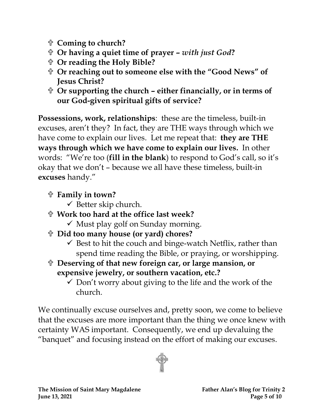- **Coming to church?**
- **Or having a quiet time of prayer –** *with just God***?**
- **Or reading the Holy Bible?**
- **Or reaching out to someone else with the "Good News" of Jesus Christ?**
- **Or supporting the church – either financially, or in terms of our God-given spiritual gifts of service?**

**Possessions, work, relationships**: these are the timeless, built-in excuses, aren't they? In fact, they are THE ways through which we have come to explain our lives. Let me repeat that: **they are THE ways through which we have come to explain our lives.** In other words: "We're too (**fill in the blank**) to respond to God's call, so it's okay that we don't – because we all have these timeless, built-in **excuses** handy."

- **Family in town?**
	- $\checkmark$  Better skip church.
- **Work too hard at the office last week?** 
	- $\checkmark$  Must play golf on Sunday morning.
- **Did too many house (or yard) chores?** 
	- $\checkmark$  Best to hit the couch and binge-watch Netflix, rather than spend time reading the Bible, or praying, or worshipping.
- **Deserving of that new foreign car, or large mansion, or expensive jewelry, or southern vacation, etc.?**
	- $\checkmark$  Don't worry about giving to the life and the work of the church.

We continually excuse ourselves and, pretty soon, we come to believe that the excuses are more important than the thing we once knew with certainty WAS important. Consequently, we end up devaluing the "banquet" and focusing instead on the effort of making our excuses.

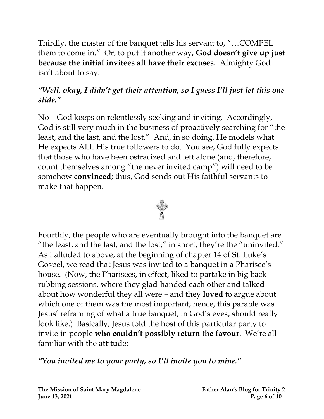Thirdly, the master of the banquet tells his servant to, "…COMPEL them to come in." Or, to put it another way, **God doesn't give up just because the initial invitees all have their excuses.** Almighty God isn't about to say:

# *"Well, okay, I didn't get their attention, so I guess I'll just let this one slide."*

No – God keeps on relentlessly seeking and inviting. Accordingly, God is still very much in the business of proactively searching for "the least, and the last, and the lost." And, in so doing, He models what He expects ALL His true followers to do. You see, God fully expects that those who have been ostracized and left alone (and, therefore, count themselves among "the never invited camp") will need to be somehow **convinced**; thus, God sends out His faithful servants to make that happen.



Fourthly, the people who are eventually brought into the banquet are "the least, and the last, and the lost;" in short, they're the "uninvited." As I alluded to above, at the beginning of chapter 14 of St. Luke's Gospel, we read that Jesus was invited to a banquet in a Pharisee's house. (Now, the Pharisees, in effect, liked to partake in big backrubbing sessions, where they glad-handed each other and talked about how wonderful they all were – and they **loved** to argue about which one of them was the most important; hence, this parable was Jesus' reframing of what a true banquet, in God's eyes, should really look like.) Basically, Jesus told the host of this particular party to invite in people **who couldn't possibly return the favour**. We're all familiar with the attitude:

*"You invited me to your party, so I'll invite you to mine."*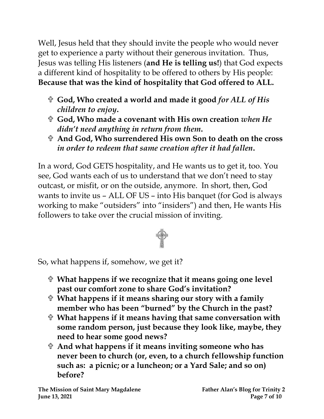Well, Jesus held that they should invite the people who would never get to experience a party without their generous invitation. Thus, Jesus was telling His listeners (**and He is telling us!**) that God expects a different kind of hospitality to be offered to others by His people: **Because that was the kind of hospitality that God offered to ALL.**

- **God, Who created a world and made it good** *for ALL of His children to enjoy***.**
- **God, Who made a covenant with His own creation** *when He didn't need anything in return from them***.**
- **And God, Who surrendered His own Son to death on the cross**  *in order to redeem that same creation after it had fallen***.**

In a word, God GETS hospitality, and He wants us to get it, too. You see, God wants each of us to understand that we don't need to stay outcast, or misfit, or on the outside, anymore. In short, then, God wants to invite us – ALL OF US – into His banquet (for God is always working to make "outsiders" into "insiders") and then, He wants His followers to take over the crucial mission of inviting.



So, what happens if, somehow, we get it?

- **What happens if we recognize that it means going one level past our comfort zone to share God's invitation?**
- **What happens if it means sharing our story with a family member who has been "burned" by the Church in the past?**
- **What happens if it means having that same conversation with some random person, just because they look like, maybe, they need to hear some good news?**
- **And what happens if it means inviting someone who has never been to church (or, even, to a church fellowship function such as: a picnic; or a luncheon; or a Yard Sale; and so on) before?**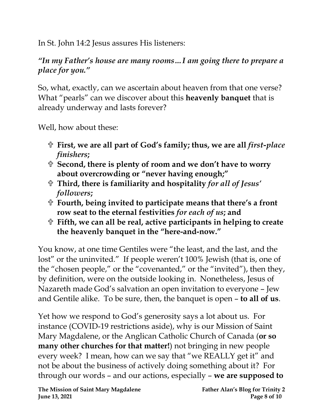In St. John 14:2 Jesus assures His listeners:

# *"In my Father's house are many rooms…I am going there to prepare a place for you."*

So, what, exactly, can we ascertain about heaven from that one verse? What "pearls" can we discover about this **heavenly banquet** that is already underway and lasts forever?

Well, how about these:

- **First, we are all part of God's family; thus, we are all** *first-place finishers***;**
- **Second, there is plenty of room and we don't have to worry about overcrowding or "never having enough;"**
- **Third, there is familiarity and hospitality** *for all of Jesus' followers***;**
- **Fourth, being invited to participate means that there's a front row seat to the eternal festivities** *for each of us***; and**
- **Fifth, we can all be real, active participants in helping to create the heavenly banquet in the "here-and-now."**

You know, at one time Gentiles were "the least, and the last, and the lost" or the uninvited." If people weren't 100% Jewish (that is, one of the "chosen people," or the "covenanted," or the "invited"), then they, by definition, were on the outside looking in. Nonetheless, Jesus of Nazareth made God's salvation an open invitation to everyone – Jew and Gentile alike. To be sure, then, the banquet is open – **to all of us**.

Yet how we respond to God's generosity says a lot about us. For instance (COVID-19 restrictions aside), why is our Mission of Saint Mary Magdalene, or the Anglican Catholic Church of Canada (**or so many other churches for that matter!**) not bringing in new people every week? I mean, how can we say that "we REALLY get it" and not be about the business of actively doing something about it? For through our words – and our actions, especially – **we are supposed to**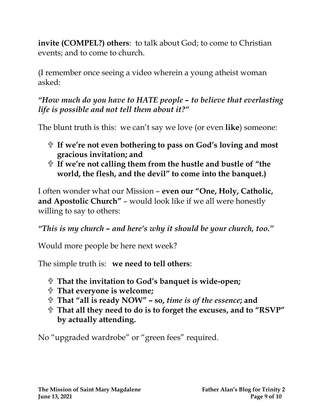**invite (COMPEL?) others**:to talk about God; to come to Christian events; and to come to church.

(I remember once seeing a video wherein a young atheist woman asked:

# *"How much do you have to HATE people – to believe that everlasting life is possible and not tell them about it?"*

The blunt truth is this: we can't say we love (or even **like**) someone:

- **If we're not even bothering to pass on God's loving and most gracious invitation; and**
- **If we're not calling them from the hustle and bustle of "the world, the flesh, and the devil" to come into the banquet.)**

I often wonder what our Mission – **even our "One, Holy, Catholic, and Apostolic Church"** – would look like if we all were honestly willing to say to others:

*"This is my church – and here's why it should be your church, too."* 

Would more people be here next week?

The simple truth is: **we need to tell others**:

- **That the invitation to God's banquet is wide-open;**
- **That everyone is welcome;**
- **That "all is ready NOW" – so,** *time is of the essence***; and**
- **That all they need to do is to forget the excuses, and to "RSVP" by actually attending.**

No "upgraded wardrobe" or "green fees" required.